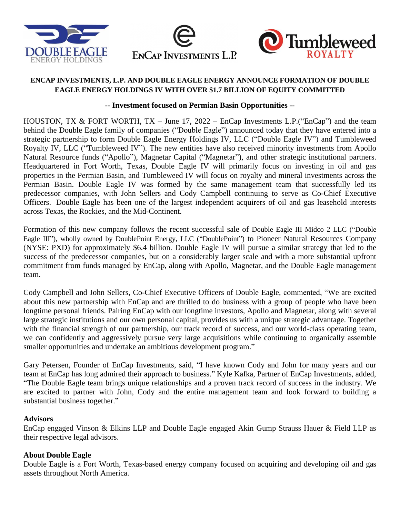





# **ENCAP INVESTMENTS, L.P. AND DOUBLE EAGLE ENERGY ANNOUNCE FORMATION OF DOUBLE EAGLE ENERGY HOLDINGS IV WITH OVER \$1.7 BILLION OF EQUITY COMMITTED**

## **-- Investment focused on Permian Basin Opportunities --**

HOUSTON, TX & FORT WORTH, TX – June 17, 2022 – EnCap Investments L.P.("EnCap") and the team behind the Double Eagle family of companies ("Double Eagle") announced today that they have entered into a strategic partnership to form Double Eagle Energy Holdings IV, LLC ("Double Eagle IV") and Tumbleweed Royalty IV, LLC ("Tumbleweed IV"). The new entities have also received minority investments from Apollo Natural Resource funds ("Apollo"), Magnetar Capital ("Magnetar"), and other strategic institutional partners. Headquartered in Fort Worth, Texas, Double Eagle IV will primarily focus on investing in oil and gas properties in the Permian Basin, and Tumbleweed IV will focus on royalty and mineral investments across the Permian Basin. Double Eagle IV was formed by the same management team that successfully led its predecessor companies, with John Sellers and Cody Campbell continuing to serve as Co-Chief Executive Officers. Double Eagle has been one of the largest independent acquirers of oil and gas leasehold interests across Texas, the Rockies, and the Mid-Continent.

Formation of this new company follows the recent successful sale of Double Eagle III Midco 2 LLC ("Double Eagle III"), wholly owned by DoublePoint Energy, LLC ("DoublePoint") to Pioneer Natural Resources Company (NYSE: PXD) for approximately \$6.4 billion. Double Eagle IV will pursue a similar strategy that led to the success of the predecessor companies, but on a considerably larger scale and with a more substantial upfront commitment from funds managed by EnCap, along with Apollo, Magnetar, and the Double Eagle management team.

Cody Campbell and John Sellers, Co-Chief Executive Officers of Double Eagle, commented, "We are excited about this new partnership with EnCap and are thrilled to do business with a group of people who have been longtime personal friends. Pairing EnCap with our longtime investors, Apollo and Magnetar, along with several large strategic institutions and our own personal capital, provides us with a unique strategic advantage. Together with the financial strength of our partnership, our track record of success, and our world-class operating team, we can confidently and aggressively pursue very large acquisitions while continuing to organically assemble smaller opportunities and undertake an ambitious development program."

Gary Petersen, Founder of EnCap Investments, said, "I have known Cody and John for many years and our team at EnCap has long admired their approach to business." Kyle Kafka, Partner of EnCap Investments, added, "The Double Eagle team brings unique relationships and a proven track record of success in the industry. We are excited to partner with John, Cody and the entire management team and look forward to building a substantial business together."

### **Advisors**

EnCap engaged Vinson & Elkins LLP and Double Eagle engaged Akin Gump Strauss Hauer & Field LLP as their respective legal advisors.

# **About Double Eagle**

Double Eagle is a Fort Worth, Texas-based energy company focused on acquiring and developing oil and gas assets throughout North America.